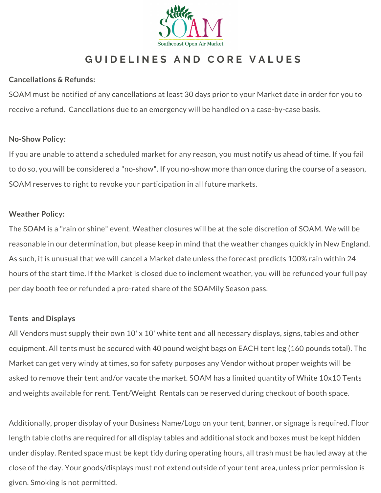

# **G U I D E L I N E S A N D C O R E V A L U E S**

### **Cancellations & Refunds:**

SOAM must be notified of any cancellations at least 30 days prior to your Market date in order for you to receive a refund. Cancellations due to an emergency will be handled on a case-by-case basis.

#### **No-Show Policy:**

If you are unable to attend a scheduled market for any reason, you must notify us ahead of time. If you fail to do so, you will be considered a "no-show". If you no-show more than once during the course of a season, SOAM reserves to right to revoke your participation in all future markets.

#### **Weather Policy:**

The SOAM is a "rain or shine" event. Weather closures will be at the sole discretion of SOAM. We will be reasonable in our determination, but please keep in mind that the weather changes quickly in New England. As such, it is unusual that we will cancel a Market date unless the forecast predicts 100% rain within 24 hours of the start time. If the Market is closed due to inclement weather, you will be refunded your full pay per day booth fee or refunded a pro-rated share of the SOAMily Season pass.

#### **Tents and Displays**

All Vendors must supply their own 10' x 10' white tent and all necessary displays, signs, tables and other equipment. All tents must be secured with 40 pound weight bags on EACH tent leg (160 pounds total). The Market can get very windy at times, so for safety purposes any Vendor without proper weights will be asked to remove their tent and/or vacate the market. SOAM has a limited quantity of White 10x10 Tents and weights available for rent. Tent/Weight Rentals can be reserved during checkout of booth space.

Additionally, proper display of your Business Name/Logo on your tent, banner, or signage is required. Floor length table cloths are required for all display tables and additional stock and boxes must be kept hidden under display. Rented space must be kept tidy during operating hours, all trash must be hauled away at the close of the day. Your goods/displays must not extend outside of your tent area, unless prior permission is given. Smoking is not permitted.